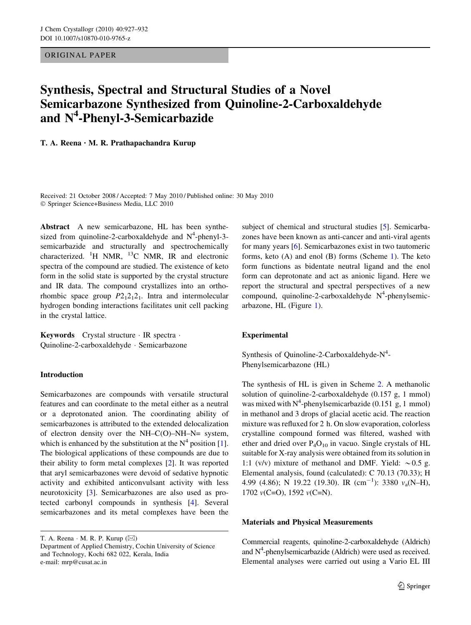ORIGINAL PAPER

# Synthesis, Spectral and Structural Studies of a Novel Semicarbazone Synthesized from Quinoline-2-Carboxaldehyde and N<sup>4</sup>-Phenyl-3-Semicarbazide

T. A. Reena • M. R. Prathapachandra Kurup

Received: 21 October 2008 / Accepted: 7 May 2010 / Published online: 30 May 2010 - Springer Science+Business Media, LLC 2010

Abstract A new semicarbazone, HL has been synthesized from quinoline-2-carboxaldehyde and  $N^4$ -phenyl-3semicarbazide and structurally and spectrochemically characterized.  ${}^{1}H$  NMR,  ${}^{13}C$  NMR, IR and electronic spectra of the compound are studied. The existence of keto form in the solid state is supported by the crystal structure and IR data. The compound crystallizes into an orthorhombic space group  $P2_12_12_1$ . Intra and intermolecular hydrogen bonding interactions facilitates unit cell packing in the crystal lattice.

Keywords Crystal structure · IR spectra · Quinoline-2-carboxaldehyde - Semicarbazone

### Introduction

Semicarbazones are compounds with versatile structural features and can coordinate to the metal either as a neutral or a deprotonated anion. The coordinating ability of semicarbazones is attributed to the extended delocalization of electron density over the NH–C(O)–NH–N= system, which is enhanced by the substitution at the  $N^4$  position [\[1](#page-4-0)]. The biological applications of these compounds are due to their ability to form metal complexes [\[2](#page-4-0)]. It was reported that aryl semicarbazones were devoid of sedative hypnotic activity and exhibited anticonvulsant activity with less neurotoxicity [[3\]](#page-4-0). Semicarbazones are also used as protected carbonyl compounds in synthesis [[4\]](#page-4-0). Several semicarbazones and its metal complexes have been the

T. A. Reena  $\cdot$  M. R. P. Kurup ( $\boxtimes$ ) Department of Applied Chemistry, Cochin University of Science and Technology, Kochi 682 022, Kerala, India e-mail: mrp@cusat.ac.in

subject of chemical and structural studies [\[5](#page-4-0)]. Semicarbazones have been known as anti-cancer and anti-viral agents for many years [[6\]](#page-4-0). Semicarbazones exist in two tautomeric forms, keto (A) and enol (B) forms (Scheme [1\)](#page-1-0). The keto form functions as bidentate neutral ligand and the enol form can deprotonate and act as anionic ligand. Here we report the structural and spectral perspectives of a new compound, quinoline-2-carboxaldehyde  $N^4$ -phenylsemicarbazone, HL (Figure [1](#page-1-0)).

### Experimental

Synthesis of Quinoline-2-Carboxaldehyde-N<sup>4</sup>-Phenylsemicarbazone (HL)

The synthesis of HL is given in Scheme [2.](#page-1-0) A methanolic solution of quinoline-2-carboxaldehyde (0.157 g, 1 mmol) was mixed with  $N^4$ -phenylsemicarbazide (0.151 g, 1 mmol) in methanol and 3 drops of glacial acetic acid. The reaction mixture was refluxed for 2 h. On slow evaporation, colorless crystalline compound formed was filtered, washed with ether and dried over  $P_4O_{10}$  in vacuo. Single crystals of HL suitable for X-ray analysis were obtained from its solution in 1:1 (v/v) mixture of methanol and DMF. Yield:  $\sim 0.5$  g. Elemental analysis, found (calculated): C 70.13 (70.33); H 4.99 (4.86); N 19.22 (19.30). IR  $(cm^{-1})$ : 3380  $v_a(N-H)$ , 1702  $v(C=O)$ , 1592  $v(C=N)$ .

### Materials and Physical Measurements

Commercial reagents, quinoline-2-carboxaldehyde (Aldrich) and  $N^4$ -phenylsemicarbazide (Aldrich) were used as received. Elemental analyses were carried out using a Vario EL III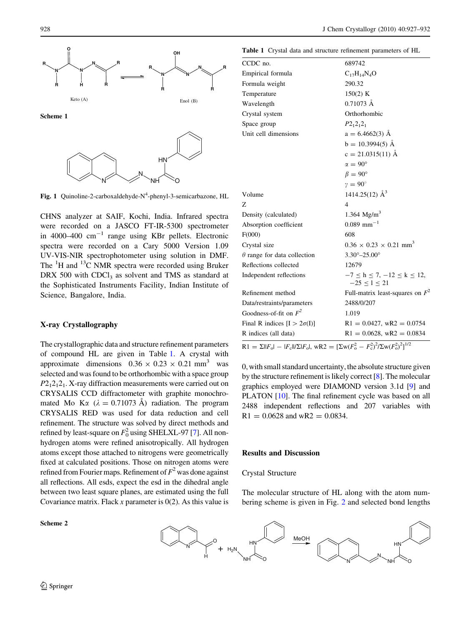<span id="page-1-0"></span>

Fig. 1 Quinoline-2-carboxaldehyde-N<sup>4</sup>-phenyl-3-semicarbazone, HL

CHNS analyzer at SAIF, Kochi, India. Infrared spectra were recorded on a JASCO FT-IR-5300 spectrometer in 4000–400  $\text{cm}^{-1}$  range using KBr pellets. Electronic spectra were recorded on a Cary 5000 Version 1.09 UV-VIS-NIR spectrophotometer using solution in DMF. The  ${}^{1}$ H and  ${}^{13}$ C NMR spectra were recorded using Bruker DRX 500 with CDCl<sub>3</sub> as solvent and TMS as standard at the Sophisticated Instruments Facility, Indian Institute of Science, Bangalore, India.

### X-ray Crystallography

The crystallographic data and structure refinement parameters of compound HL are given in Table 1. A crystal with approximate dimensions  $0.36 \times 0.23 \times 0.21$  mm<sup>3</sup> was selected and was found to be orthorhombic with a space group  $P2_12_12_1$ . X-ray diffraction measurements were carried out on CRYSALIS CCD diffractometer with graphite monochromated Mo K $\alpha$  ( $\lambda = 0.71073$  Å) radiation. The program CRYSALIS RED was used for data reduction and cell refinement. The structure was solved by direct methods and refined by least-square on  $F_0^2$  using SHELXL-97 [[7\]](#page-4-0). All nonhydrogen atoms were refined anisotropically. All hydrogen atoms except those attached to nitrogens were geometrically fixed at calculated positions. Those on nitrogen atoms were refined from Fourier maps. Refinement of  $F^2$  was done against all reflections. All esds, expect the esd in the dihedral angle between two least square planes, are estimated using the full Covariance matrix. Flack x parameter is  $0(2)$ . As this value is

Scheme 2

Table 1 Crystal data and structure refinement parameters of HL

| CCDC no.                                                                                                 | 689742                                                    |  |  |  |
|----------------------------------------------------------------------------------------------------------|-----------------------------------------------------------|--|--|--|
| Empirical formula                                                                                        | $C_{17}H_{14}N_4O$                                        |  |  |  |
| Formula weight                                                                                           | 290.32                                                    |  |  |  |
| Temperature                                                                                              | 150(2) K                                                  |  |  |  |
| Wavelength                                                                                               | $0.71073 \text{ Å}$                                       |  |  |  |
| Crystal system                                                                                           | Orthorhombic                                              |  |  |  |
| Space group                                                                                              | $P2_12_12_1$                                              |  |  |  |
| Unit cell dimensions                                                                                     | $a = 6.4662(3)$ Å                                         |  |  |  |
|                                                                                                          | $b = 10.3994(5)$ Å                                        |  |  |  |
|                                                                                                          | $c = 21.0315(11)$ Å                                       |  |  |  |
|                                                                                                          | $\alpha = 90^{\circ}$                                     |  |  |  |
|                                                                                                          | $\beta = 90^{\circ}$                                      |  |  |  |
|                                                                                                          | $v = 90^{\circ}$                                          |  |  |  |
| Volume                                                                                                   | 1414.25(12) $\AA^3$                                       |  |  |  |
| Z                                                                                                        | $\overline{4}$                                            |  |  |  |
| Density (calculated)                                                                                     | 1.364 $Mg/m^3$                                            |  |  |  |
| Absorption coefficient                                                                                   | $0.089$ mm <sup>-1</sup>                                  |  |  |  |
| F(000)                                                                                                   | 608                                                       |  |  |  |
| Crystal size                                                                                             | $0.36 \times 0.23 \times 0.21$ mm <sup>3</sup>            |  |  |  |
| $\theta$ range for data collection                                                                       | $3.30^{\circ} - 25.00^{\circ}$                            |  |  |  |
| Reflections collected                                                                                    | 12679                                                     |  |  |  |
| Independent reflections                                                                                  | $-7 \le h \le 7, -12 \le k \le 12,$<br>$-25 \le l \le 21$ |  |  |  |
| Refinement method                                                                                        | Full-matrix least-squares on $F^2$                        |  |  |  |
| Data/restraints/parameters                                                                               | 2488/0/207                                                |  |  |  |
| Goodness-of-fit on $F^2$                                                                                 | 1.019                                                     |  |  |  |
| Final R indices $[I > 2\sigma(I)]$                                                                       | $R1 = 0.0427$ , wR2 = 0.0754                              |  |  |  |
| R indices (all data)                                                                                     | $R1 = 0.0628$ , wR2 = 0.0834                              |  |  |  |
| $R1 = \Sigma   F_o  -  F_c  /\Sigma  F_o $ , wR2 = $[\Sigma w(F_o^2 - F_c^2)^2/\Sigma w(F_o^2)^2]^{1/2}$ |                                                           |  |  |  |

0, with small standard uncertainty, the absolute structure given by the structure refinement is likely correct [[8](#page-4-0)]. The molecular graphics employed were DIAMOND version 3.1d [[9\]](#page-4-0) and PLATON [\[10](#page-4-0)]. The final refinement cycle was based on all 2488 independent reflections and 207 variables with  $R1 = 0.0628$  and wR2 = 0.0834.

## Results and Discussion

## Crystal Structure

The molecular structure of HL along with the atom numbering scheme is given in Fig. [2](#page-2-0) and selected bond lengths

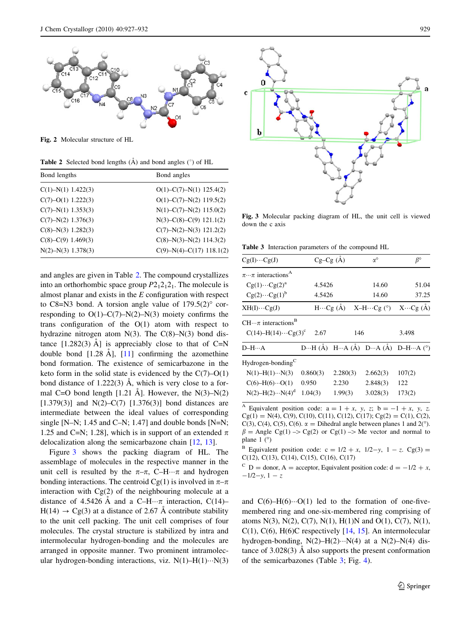<span id="page-2-0"></span>

Fig. 2 Molecular structure of HL

**Table 2** Selected bond lengths  $(A)$  and bond angles  $(°)$  of HL

| Bond lengths           | Bond angles                          |
|------------------------|--------------------------------------|
| $C(1) - N(1)$ 1.422(3) | $O(1) - C(7) - N(1)$ 125.4(2)        |
| $C(7)-O(1)$ 1.222(3)   | $O(1)$ –C(7)–N(2) 119.5(2)           |
| $C(7) - N(1)$ 1.353(3) | $N(1) - C(7) - N(2)$ 115.0(2)        |
| $C(7) - N(2)$ 1.376(3) | $N(3)$ –C $(8)$ –C $(9)$ 121.1 $(2)$ |
| $C(8)-N(3)$ 1.282(3)   | $C(7)-N(2)-N(3)$ 121.2(2)            |
| $C(8)$ –C(9) 1.469(3)  | $C(8)-N(3)-N(2)$ 114.3(2)            |
| $N(2) - N(3)$ 1.378(3) | $C(9)-N(4)-C(17)$ 118.1(2)           |
|                        |                                      |

and angles are given in Table 2. The compound crystallizes into an orthorhombic space group  $P2_12_12_1$ . The molecule is almost planar and exists in the E configuration with respect to C8=N3 bond. A torsion angle value of  $179.5(2)^\circ$  corresponding to  $O(1)$ – $C(7)$ – $N(2)$ – $N(3)$  moiety confirms the trans configuration of the  $O(1)$  atom with respect to hydrazine nitrogen atom  $N(3)$ . The  $C(8)$ – $N(3)$  bond distance  $[1.282(3)$  Å] is appreciably close to that of C=N double bond  $[1.28 \text{ Å}]$ ,  $[11]$  $[11]$  confirming the azomethine bond formation. The existence of semicarbazone in the keto form in the solid state is evidenced by the  $C(7)-O(1)$ bond distance of  $1.222(3)$  Å, which is very close to a formal C=O bond length  $[1.21 \text{ Å}]$ . However, the N(3)–N(2) [1.379(3)] and N(2)–C(7) [1.376(3)] bond distances are intermediate between the ideal values of corresponding single [N–N; 1.45 and C–N; 1.47] and double bonds [N=N; 1.25 and C=N; 1.28], which is in support of an extended  $\pi$ delocalization along the semicarbazone chain [\[12](#page-4-0), [13\]](#page-4-0).

Figure 3 shows the packing diagram of HL. The assemblage of molecules in the respective manner in the unit cell is resulted by the  $\pi-\pi$ , C–H $\cdots\pi$  and hydrogen bonding interactions. The centroid Cg(1) is involved in  $\pi-\pi$ interaction with  $Cg(2)$  of the neighbouring molecule at a distance of 4.5426 Å and a C-H $\cdots$  $\pi$  interaction, C(14)- $H(14) \rightarrow Cg(3)$  at a distance of 2.67 A contribute stability to the unit cell packing. The unit cell comprises of four molecules. The crystal structure is stabilized by intra and intermolecular hydrogen-bonding and the molecules are arranged in opposite manner. Two prominent intramolecular hydrogen-bonding interactions, viz.  $N(1)$ -H(1)··· $N(3)$ 



Fig. 3 Molecular packing diagram of HL, the unit cell is viewed down the c axis

Table 3 Interaction parameters of the compound HL

 $\epsilon$ 

b

| $Cg(I)\cdots Cg(J)$                                                  | $Cg-Cg(A)$ | $\alpha^{\circ}$  |                    | $\beta^{\circ}$                                                                                |
|----------------------------------------------------------------------|------------|-------------------|--------------------|------------------------------------------------------------------------------------------------|
| $\pi \cdots \pi$ interactions <sup>A</sup>                           |            |                   |                    |                                                                                                |
| $Cg(1)\cdots Cg(2)^{a}$                                              | 4.5426     |                   | 14.60              | 51.04                                                                                          |
| $Cg(2)\cdots Cg(1)^b$                                                | 4.5426     |                   | 14.60              | 37.25                                                                                          |
| $XH(I)\cdots Cg(J)$                                                  |            | $H \cdots Cg$ (Å) | $X-H\cdots Cg$ (°) | $X \cdots Cg(A)$                                                                               |
| $CH \pi$ interactions <sup>B</sup><br>$C(14) - H(14) \cdots Cg(3)^c$ | 2.67       | 146               |                    | 3.498                                                                                          |
| $D-H \cdots A$                                                       |            |                   |                    | $D \cdots H (\dot{A})$ $H \cdots A (\dot{A})$ $D \cdots A (\dot{A})$ $D-H \cdots A (^{\circ})$ |
| Hydrogen-bonding <sup>C</sup>                                        |            |                   |                    |                                                                                                |
| $N(1) - H(1) \cdots N(3)$                                            | 0.860(3)   | 2.280(3)          | 2.662(3)           | 107(2)                                                                                         |
| $C(6)-H(6)\cdots O(1)$                                               | 0.950      | 2.230             | 2.848(3)           | 122                                                                                            |
| $N(2) - H(2) \cdots N(4)^d$                                          | 1.04(3)    | 1.99(3)           | 3.028(3)           | 173(2)                                                                                         |

<sup>A</sup> Equivalent position code:  $a = 1 + x$ , y, z;  $b = -1 + x$ , y, z.  $Cg(1) = N(4), C(9), C(10), C(11), C(12), C(17); Cg(2) = C(1), C(2),$ C(3), C(4), C(5), C(6).  $\alpha$  = Dihedral angle between planes 1 and 2(°).  $\beta$  = Angle Cg(1) –> Cg(2) or Cg(1) –> Me vector and normal to plane  $1$  ( $\degree$ )

<sup>B</sup> Equivalent position code:  $c = 1/2 + x$ ,  $1/2-y$ ,  $1 - z$ . Cg(3) = C(12), C(13), C(14), C(15), C(16), C(17)

<sup>C</sup> D = donor, A = acceptor, Equivalent position code:  $d = -1/2 + x$ ,  $-1/2-y$ ,  $1-z$ 

and  $C(6)$ -H $(6)$  $\cdots$ O(1) led to the formation of one-fivemembered ring and one-six-membered ring comprising of atoms N(3), N(2), C(7), N(1), H(1)N and O(1), C(7), N(1),  $C(1)$ ,  $C(6)$ ,  $H(6)C$  respectively [[14,](#page-4-0) [15\]](#page-4-0). An intermolecular hydrogen-bonding,  $N(2)$ -H(2)··· $N(4)$  at a  $N(2)$ - $N(4)$  distance of  $3.028(3)$  Å also supports the present conformation of the semicarbazones (Table 3; Fig. [4\)](#page-3-0).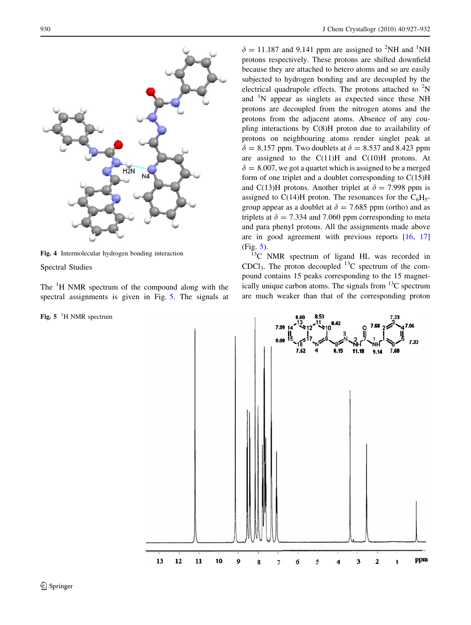<span id="page-3-0"></span>

Fig. 4 Intermolecular hydrogen bonding interaction

Spectral Studies

The <sup>1</sup>H NMR spectrum of the compound along with the spectral assignments is given in Fig. 5. The signals at

## Fig.  $5^{-1}$ H NMR spectrum

 $\delta = 11.187$  and 9.141 ppm are assigned to <sup>2</sup>NH and <sup>1</sup>NH protons respectively. These protons are shifted downfield because they are attached to hetero atoms and so are easily subjected to hydrogen bonding and are decoupled by the electrical quadrupole effects. The protons attached to  ${}^{2}$ N and <sup>1</sup>N appear as singlets as expected since these NH protons are decoupled from the nitrogen atoms and the protons from the adjacent atoms. Absence of any coupling interactions by C(8)H proton due to availability of protons on neighbouring atoms render singlet peak at  $\delta = 8.157$  ppm. Two doublets at  $\delta = 8.537$  and 8.423 ppm are assigned to the  $C(11)H$  and  $C(10)H$  protons. At  $\delta = 8.007$ , we got a quartet which is assigned to be a merged form of one triplet and a doublet corresponding to  $C(15)H$ and C(13)H protons. Another triplet at  $\delta = 7.998$  ppm is assigned to C(14)H proton. The resonances for the  $C_6H_5$ group appear as a doublet at  $\delta = 7.685$  ppm (ortho) and as triplets at  $\delta = 7.334$  and 7.060 ppm corresponding to meta and para phenyl protons. All the assignments made above are in good agreement with previous reports [[16,](#page-4-0) [17\]](#page-4-0) (Fig. 5).

<sup>3</sup>C NMR spectrum of ligand HL was recorded in CDCl<sub>3</sub>. The proton decoupled  $^{13}$ C spectrum of the compound contains 15 peaks corresponding to the 15 magnetically unique carbon atoms. The signals from  $^{13}$ C spectrum are much weaker than that of the corresponding proton

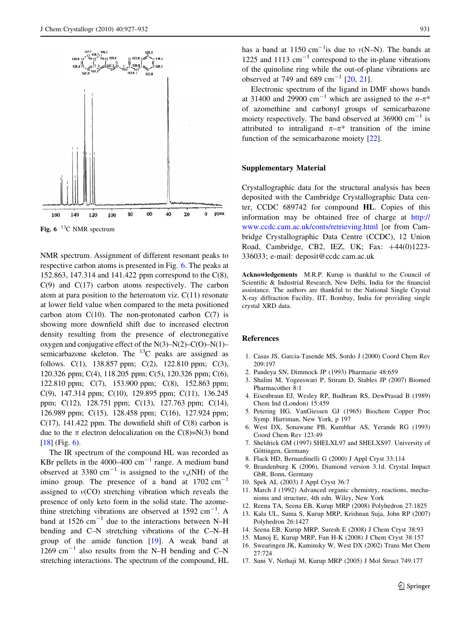<span id="page-4-0"></span>

NMR spectrum. Assignment of different resonant peaks to respective carbon atoms is presented in Fig. 6. The peaks at 152.863, 147.314 and 141.422 ppm correspond to the C(8),  $C(9)$  and  $C(17)$  carbon atoms respectively. The carbon atom at para position to the heteroatom viz. C(11) resonate at lower field value when compared to the meta positioned carbon atom  $C(10)$ . The non-protonated carbon  $C(7)$  is showing more downfield shift due to increased electron density resulting from the presence of electronegative oxygen and conjugative effect of the  $N(3)-N(2)-C(O)-N(1)$ – semicarbazone skeleton. The  $^{13}$ C peaks are assigned as follows. C(1), 138.857 ppm; C(2), 122.810 ppm; C(3), 120.326 ppm; C(4), 118.205 ppm; C(5), 120.326 ppm; C(6), 122.810 ppm; C(7), 153.900 ppm; C(8), 152.863 ppm; C(9), 147.314 ppm; C(10), 129.895 ppm; C(11), 136.245 ppm; C(12), 128.751 ppm; C(13), 127.763 ppm; C(14), 126.989 ppm; C(15), 128.458 ppm; C(16), 127.924 ppm; C(17), 141.422 ppm. The downfield shift of  $C(8)$  carbon is due to the  $\pi$  electron delocalization on the C(8)=N(3) bond [\[18\]](#page-5-0) (Fig. 6).

The IR spectrum of the compound HL was recorded as KBr pellets in the 4000–400  $\text{cm}^{-1}$  range. A medium band observed at 3380 cm<sup>-1</sup> is assigned to the  $v_a(NH)$  of the imino group. The presence of a band at  $1702 \text{ cm}^{-1}$ assigned to  $v(CO)$  stretching vibration which reveals the presence of only keto form in the solid state. The azomethine stretching vibrations are observed at  $1592 \text{ cm}^{-1}$ . A band at  $1526$  cm<sup>-1</sup> due to the interactions between N-H bending and C–N stretching vibrations of the C–N–H group of the amide function [[19\]](#page-5-0). A weak band at 1269 cm<sup>-1</sup> also results from the N–H bending and C–N stretching interactions. The spectrum of the compound, HL

has a band at 1150 cm<sup>-1</sup> is due to  $v(N-N)$ . The bands at 1225 and 1113  $\text{cm}^{-1}$  correspond to the in-plane vibrations of the quinoline ring while the out-of-plane vibrations are observed at 749 and 689 cm<sup>-1</sup> [[20,](#page-5-0) [21\]](#page-5-0).

Electronic spectrum of the ligand in DMF shows bands at 31400 and 29900 cm<sup>-1</sup> which are assigned to the  $n-\pi^*$ of azomethine and carbonyl groups of semicarbazone moiety respectively. The band observed at  $36900 \text{ cm}^{-1}$  is attributed to intraligand  $\pi-\pi^*$  transition of the imine function of the semicarbazone moiety [\[22](#page-5-0)].

## Supplementary Material

Crystallographic data for the structural analysis has been deposited with the Cambridge Crystallographic Data center, CCDC 689742 for compound HL. Copies of this information may be obtained free of charge at [http://](http://www.ccdc.cam.ac.uk/conts/retrieving.html) [www.ccdc.cam.ac.uk/conts/retrieving.html](http://www.ccdc.cam.ac.uk/conts/retrieving.html) [or from Cambridge Crystallographic Data Centre (CCDC), 12 Union Road, Cambridge, CB2, IEZ, UK; Fax:  $+44(0)1223-$ 336033; e-mail: deposit@ccdc.cam.ac.uk

Acknowledgements M.R.P. Kurup is thankful to the Council of Scientific & Industrial Research, New Delhi, India for the financial assistance. The authors are thankful to the National Single Crystal X-ray diffraction Facility, IIT, Bombay, India for providing single crystal XRD data.

#### References

- 1. Casas JS, Garcia-Tasende MS, Sordo J (2000) Coord Chem Rev 209:197
- 2. Pandeya SN, Dimmock JP (1993) Pharmazie 48:659
- 3. Shalini M, Yogeeswari P, Sriram D, Stables JP (2007) Biomed Pharmacother 8:1
- 4. Eisenbraun EJ, Wesley RP, Budhram RS, DewPrasad B (1989) Chem Ind (London) 15:459
- 5. Petering HG, VanGiessen GJ (1965) Biochem Copper Proc Symp. Harriman, New York, p 197
- 6. West DX, Sonawane PB, Kumbhar AS, Yerande RG (1993) Coord Chem Rev 123:49
- 7. Sheldrick GM (1997) SHELXL97 and SHELXS97. University of Göttingen, Germany
- 8. Flack HD, Bernardinelli G (2000) J Appl Cryst 33:114
- 9. Brandenburg K (2006), Diamond version 3.1d. Crystal Impact GbR, Bonn, Germany
- 10. Spek AL (2003) J Appl Cryst 36:7
- 11. March J (1992) Advanced organic chemistry, reactions, mechanisms and structure, 4th edn. Wiley, New York
- 12. Reena TA, Seena EB, Kurup MRP (2008) Polyhedron 27:1825
- 13. Kala UL, Suma S, Kurup MRP, Krishnan Suja, John RP (2007) Polyhedron 26:1427
- 14. Seena EB, Kurup MRP, Suresh E (2008) J Chem Cryst 38:93
- 15. Manoj E, Kurup MRP, Fun H-K (2008) J Chem Cryst 38:157
- 16. Swearingen JK, Kaminsky W, West DX (2002) Trans Met Chem 27:724
- 17. Suni V, Nethaji M, Kurup MRP (2005) J Mol Struct 749:177